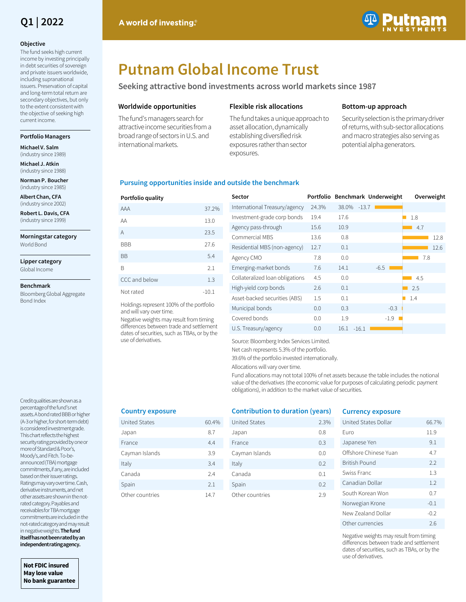

#### **Objective**

The fund seeks high current income by investing principally in debt securities of sovereign and private issuers worldwide, including supranational issuers. Preservation of capital and long-term total return are secondary objectives, but only to the extent consistent with the objective of seeking high current income.

#### **Portfolio Managers**

**Michael V. Salm**  (industry since 1989)

**Michael J. Atkin**  (industry since 1988)

**Norman P. Boucher**  (industry since 1985)

**Albert Chan, CFA**  (industry since 2002)

**Robert L. Davis, CFA**  (industry since 1999)

**Morningstar category** World Bond

**Lipper category**

Global Income

#### **Benchmark**

Bloomberg Global Aggregate Bond Index

Credit qualities are shown as a percentage of the fund's net assets. A bond rated BBB or higher (A-3 or higher, for short-term debt) is considered investment grade. This chart reflects the highest security rating provided by one or more of Standard & Poor's, Moody's, and Fitch. To-beannounced (TBA) mortgage commitments, if any, are included based on their issuer ratings. Ratings may vary over time. Cash, derivative instruments, and net other assets are shown in the notrated category. Payables and receivables for TBA mortgage commitments are included in the not-rated category and may result in negative weights. **The fund itself has not been rated by an independent rating agency.** 

**Not FDIC insured May lose value No bank guarantee**



# **Putnam Global Income Trust**

**Seeking attractive bond investments across world markets since 1987**

#### **Worldwide opportunities**

The fund's managers search for attractive income securities from a broad range of sectors in U.S. and international markets.

#### **Flexible risk allocations**

The fund takes a unique approach to asset allocation, dynamically establishing diversified risk exposures rather than sector exposures.

#### **Bottom-up approach**

Security selection is the primary driver of returns, with sub-sector allocations and macro strategies also serving as potential alpha generators.

#### **Pursuing opportunities inside and outside the benchmark**

| Portfolio quality |         |
|-------------------|---------|
| AAA               | 37.2%   |
| AA                | 13.0    |
| A                 | 23.5    |
| <b>BBB</b>        | 27.6    |
| <b>BB</b>         | 5.4     |
| B                 | 2.1     |
| CCC and below     | 1.3     |
| Not rated         | $-10.1$ |

Holdings represent 100% of the portfolio and will vary over time.

Negative weights may result from timing differences between trade and settlement dates of securities, such as TBAs, or by the use of derivatives.

| Sector                          |       | Portfolio Benchmark Underweight |        | Overweight |
|---------------------------------|-------|---------------------------------|--------|------------|
| International Treasury/agency   | 24.3% | 38.0%<br>$-13.7$                |        |            |
| Investment-grade corp bonds     | 19.4  | 17.6                            |        | 1.8        |
| Agency pass-through             | 15.6  | 10.9                            |        | 4.7        |
| Commercial MBS                  | 13.6  | 0.8                             |        | 12.8       |
| Residential MBS (non-agency)    | 12.7  | 0.1                             |        | 12.6       |
| Agency CMO                      | 7.8   | 0.0                             |        | 7.8        |
| Emerging-market bonds           | 7.6   | 14.1                            | $-6.5$ |            |
| Collateralized loan obligations | 4.5   | 0.0                             |        | 4.5        |
| High-yield corp bonds           | 2.6   | 0.1                             |        | 2.5        |
| Asset-backed securities (ABS)   | 1.5   | 0.1                             |        | 1.4        |
| Municipal bonds                 | 0.0   | 0.3                             | $-0.3$ |            |
| Covered bonds                   | 0.0   | 1.9                             | $-1.9$ |            |
| U.S. Treasury/agency            | 0.0   | $-16.1$<br>16.1                 |        |            |

Source: Bloomberg Index Services Limited.

Net cash represents 5.3% of the portfolio.

39.6% of the portfolio invested internationally.

Allocations will vary over time.

Fund allocations may not total 100% of net assets because the table includes the notional value of the derivatives (the economic value for purposes of calculating periodic payment obligations), in addition to the market value of securities.

#### **Country exposure**

| <b>United States</b> | 60.4% |
|----------------------|-------|
|                      |       |
| Japan                | 8.7   |
| France               | 4.4   |
| Cayman Islands       | 3.9   |
| Italy                | 3.4   |
| Canada               | 24    |
| Spain                | 2.1   |
| Other countries      | 14.7  |

### **Contribution to duration (years)**

| <b>United States</b> | 2.3% |
|----------------------|------|
| Japan                | 0.8  |
| France               | 0.3  |
| Cayman Islands       | 0.0  |
| Italy                | 0.2  |
| Canada               | 0.1  |
| Spain                | 0.2  |
| Other countries      | 29   |
|                      |      |

#### **Currency exposure**

| United States Dollar  | 66 7%  |
|-----------------------|--------|
| Furo                  | 11.9   |
| Japanese Yen          | 9.1    |
| Offshore Chinese Yuan | 47     |
| <b>British Pound</b>  | 2.2    |
| Swiss Franc           | 1.3    |
| Canadian Dollar       | 1.2    |
| South Korean Won      | 07     |
| Norwegian Krone       | $-0.1$ |
| New Zealand Dollar    | $-0.2$ |
| Other currencies      | 26     |

Negative weights may result from timing differences between trade and settlement dates of securities, such as TBAs, or by the use of derivatives.